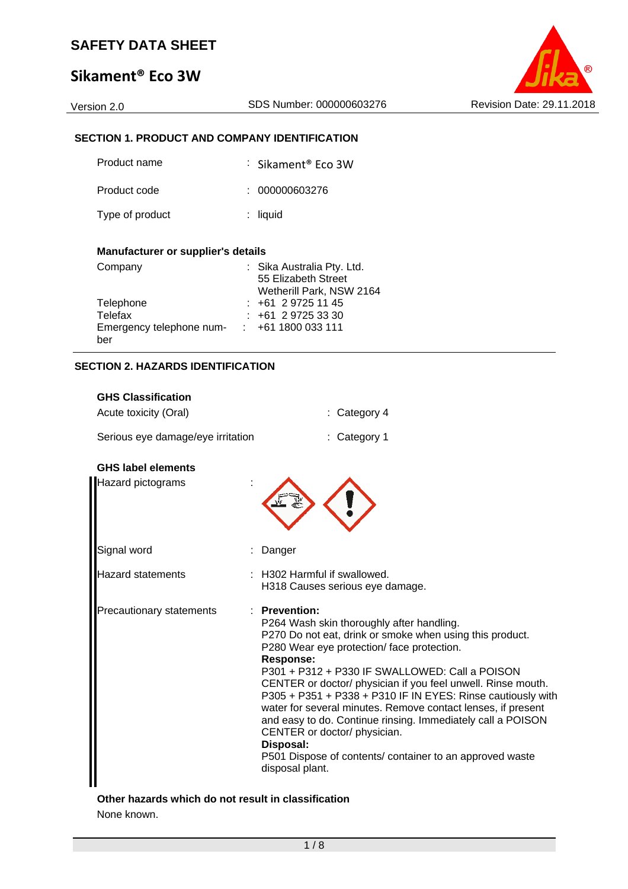# **Sikament® Eco 3W**

### **SECTION 1. PRODUCT AND COMPANY IDENTIFICATION**

| Product name    | $\therefore$ Sikament® Fco 3W |
|-----------------|-------------------------------|
| Product code    | : 000000603276                |
| Type of product | $:$ liquid                    |

### **Manufacturer or supplier's details**

| Company                  | : Sika Australia Pty. Ltd. |
|--------------------------|----------------------------|
|                          | 55 Elizabeth Street        |
|                          | Wetherill Park, NSW 2164   |
| Telephone                | $: +61297251145$           |
| Telefax                  | $: +61297253330$           |
| Emergency telephone num- | $\div$ +61 1800 033 111    |
| ber                      |                            |

### **SECTION 2. HAZARDS IDENTIFICATION**

### **GHS Classification**

| : Category 4                                                                                                                                                                                                                                                                                                                                                                                                                                                                                                                                                                                                                             |
|------------------------------------------------------------------------------------------------------------------------------------------------------------------------------------------------------------------------------------------------------------------------------------------------------------------------------------------------------------------------------------------------------------------------------------------------------------------------------------------------------------------------------------------------------------------------------------------------------------------------------------------|
| Serious eye damage/eye irritation<br>: Category 1                                                                                                                                                                                                                                                                                                                                                                                                                                                                                                                                                                                        |
|                                                                                                                                                                                                                                                                                                                                                                                                                                                                                                                                                                                                                                          |
|                                                                                                                                                                                                                                                                                                                                                                                                                                                                                                                                                                                                                                          |
| Danger                                                                                                                                                                                                                                                                                                                                                                                                                                                                                                                                                                                                                                   |
| H302 Harmful if swallowed.<br>H318 Causes serious eye damage.                                                                                                                                                                                                                                                                                                                                                                                                                                                                                                                                                                            |
| <b>Prevention:</b><br>P264 Wash skin thoroughly after handling.<br>P270 Do not eat, drink or smoke when using this product.<br>P280 Wear eye protection/face protection.<br><b>Response:</b><br>P301 + P312 + P330 IF SWALLOWED: Call a POISON<br>CENTER or doctor/ physician if you feel unwell. Rinse mouth.<br>P305 + P351 + P338 + P310 IF IN EYES: Rinse cautiously with<br>water for several minutes. Remove contact lenses, if present<br>and easy to do. Continue rinsing. Immediately call a POISON<br>CENTER or doctor/ physician.<br>Disposal:<br>P501 Dispose of contents/ container to an approved waste<br>disposal plant. |
|                                                                                                                                                                                                                                                                                                                                                                                                                                                                                                                                                                                                                                          |

**Other hazards which do not result in classification**  None known.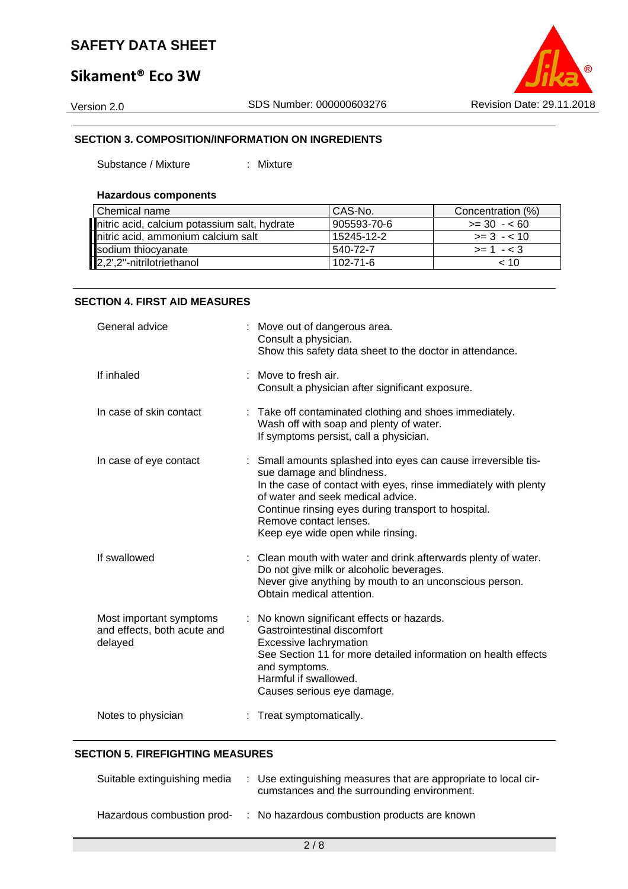## **Sikament® Eco 3W**

Version 2.0 SDS Number: 000000603276 Revision Date: 29.11.2018

#### **SECTION 3. COMPOSITION/INFORMATION ON INGREDIENTS**

Substance / Mixture : Mixture

#### **Hazardous components**

| Chemical name                                | CAS-No.        | Concentration (%) |
|----------------------------------------------|----------------|-------------------|
| nitric acid, calcium potassium salt, hydrate | 905593-70-6    | $>= 30 - 60$      |
| nitric acid, ammonium calcium salt           | 15245-12-2     | $>= 3 - 10$       |
| sodium thiocyanate                           | 540-72-7       | $>= 1 - 3$        |
| 2,2',2"-nitrilotriethanol                    | $102 - 71 - 6$ | ~10               |

#### **SECTION 4. FIRST AID MEASURES**

| General advice                                                    | : Move out of dangerous area.<br>Consult a physician.<br>Show this safety data sheet to the doctor in attendance.                                                                                                                                                                                                         |
|-------------------------------------------------------------------|---------------------------------------------------------------------------------------------------------------------------------------------------------------------------------------------------------------------------------------------------------------------------------------------------------------------------|
| If inhaled                                                        | Move to fresh air.<br>Consult a physician after significant exposure.                                                                                                                                                                                                                                                     |
| In case of skin contact                                           | : Take off contaminated clothing and shoes immediately.<br>Wash off with soap and plenty of water.<br>If symptoms persist, call a physician.                                                                                                                                                                              |
| In case of eye contact                                            | : Small amounts splashed into eyes can cause irreversible tis-<br>sue damage and blindness.<br>In the case of contact with eyes, rinse immediately with plenty<br>of water and seek medical advice.<br>Continue rinsing eyes during transport to hospital.<br>Remove contact lenses.<br>Keep eye wide open while rinsing. |
| If swallowed                                                      | : Clean mouth with water and drink afterwards plenty of water.<br>Do not give milk or alcoholic beverages.<br>Never give anything by mouth to an unconscious person.<br>Obtain medical attention.                                                                                                                         |
| Most important symptoms<br>and effects, both acute and<br>delayed | : No known significant effects or hazards.<br>Gastrointestinal discomfort<br>Excessive lachrymation<br>See Section 11 for more detailed information on health effects<br>and symptoms.<br>Harmful if swallowed.<br>Causes serious eye damage.                                                                             |
| Notes to physician                                                | : Treat symptomatically.                                                                                                                                                                                                                                                                                                  |

#### **SECTION 5. FIREFIGHTING MEASURES**

| Suitable extinguishing media | : Use extinguishing measures that are appropriate to local cir-<br>cumstances and the surrounding environment. |
|------------------------------|----------------------------------------------------------------------------------------------------------------|
| Hazardous combustion prod-   | : No hazardous combustion products are known                                                                   |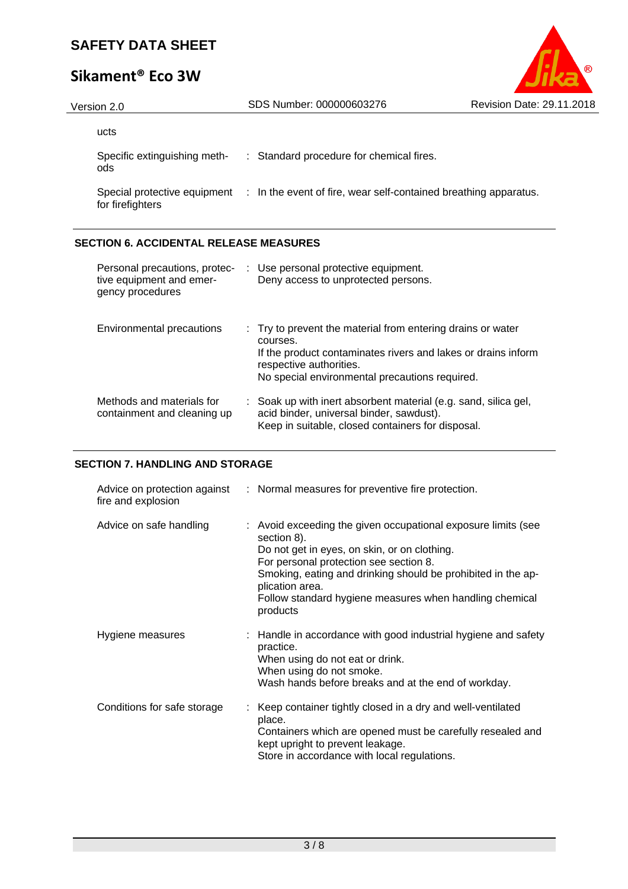# **Sikament® Eco 3W**

| (R                               |
|----------------------------------|
| <b>Revision Date: 29.11.2018</b> |

| Version 2.0                                      | SDS Number: 000000603276                                         | <b>Revision Date: 29.11.2018</b> |
|--------------------------------------------------|------------------------------------------------------------------|----------------------------------|
| ucts                                             |                                                                  |                                  |
| Specific extinguishing meth-<br>ods              | : Standard procedure for chemical fires.                         |                                  |
| Special protective equipment<br>for firefighters | : In the event of fire, wear self-contained breathing apparatus. |                                  |

### **SECTION 6. ACCIDENTAL RELEASE MEASURES**

| Personal precautions, protec-<br>tive equipment and emer-<br>gency procedures | : Use personal protective equipment.<br>Deny access to unprotected persons.                                                                                                                                           |
|-------------------------------------------------------------------------------|-----------------------------------------------------------------------------------------------------------------------------------------------------------------------------------------------------------------------|
| Environmental precautions                                                     | : Try to prevent the material from entering drains or water<br>courses.<br>If the product contaminates rivers and lakes or drains inform<br>respective authorities.<br>No special environmental precautions required. |
| Methods and materials for<br>containment and cleaning up                      | : Soak up with inert absorbent material (e.g. sand, silica gel,<br>acid binder, universal binder, sawdust).<br>Keep in suitable, closed containers for disposal.                                                      |

#### **SECTION 7. HANDLING AND STORAGE**

| fire and explosion          | Advice on protection against : Normal measures for preventive fire protection.                                                                                                                                                                                                                                                   |
|-----------------------------|----------------------------------------------------------------------------------------------------------------------------------------------------------------------------------------------------------------------------------------------------------------------------------------------------------------------------------|
| Advice on safe handling     | : Avoid exceeding the given occupational exposure limits (see<br>section 8).<br>Do not get in eyes, on skin, or on clothing.<br>For personal protection see section 8.<br>Smoking, eating and drinking should be prohibited in the ap-<br>plication area.<br>Follow standard hygiene measures when handling chemical<br>products |
| Hygiene measures            | : Handle in accordance with good industrial hygiene and safety<br>practice.<br>When using do not eat or drink.<br>When using do not smoke.<br>Wash hands before breaks and at the end of workday.                                                                                                                                |
| Conditions for safe storage | : Keep container tightly closed in a dry and well-ventilated<br>place.<br>Containers which are opened must be carefully resealed and<br>kept upright to prevent leakage.<br>Store in accordance with local regulations.                                                                                                          |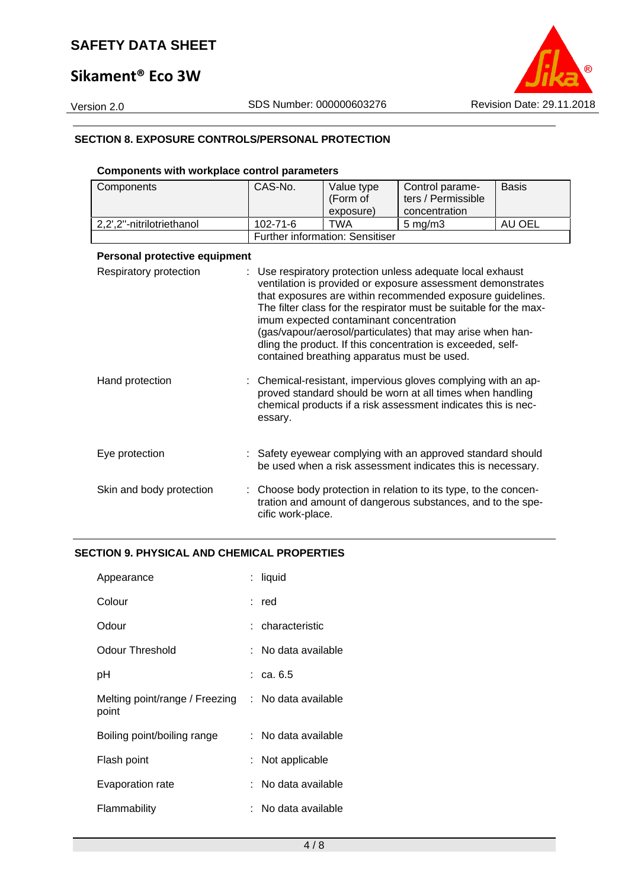## **Sikament® Eco 3W**



#### **SECTION 8. EXPOSURE CONTROLS/PERSONAL PROTECTION**

### **Components with workplace control parameters**

| Components                    | CAS-No.           | Value type                                                                             | Control parame-                                                                                                                                                                                                                                                                                                                                                                         | <b>Basis</b> |
|-------------------------------|-------------------|----------------------------------------------------------------------------------------|-----------------------------------------------------------------------------------------------------------------------------------------------------------------------------------------------------------------------------------------------------------------------------------------------------------------------------------------------------------------------------------------|--------------|
|                               |                   | (Form of                                                                               | ters / Permissible                                                                                                                                                                                                                                                                                                                                                                      |              |
|                               |                   | exposure)                                                                              | concentration                                                                                                                                                                                                                                                                                                                                                                           |              |
| 2,2',2"-nitrilotriethanol     | 102-71-6          | <b>TWA</b>                                                                             | $5 \text{ mg/m}$ 3                                                                                                                                                                                                                                                                                                                                                                      | AU OEL       |
|                               |                   | <b>Further information: Sensitiser</b>                                                 |                                                                                                                                                                                                                                                                                                                                                                                         |              |
| Personal protective equipment |                   |                                                                                        |                                                                                                                                                                                                                                                                                                                                                                                         |              |
| Respiratory protection        |                   | imum expected contaminant concentration<br>contained breathing apparatus must be used. | Use respiratory protection unless adequate local exhaust<br>ventilation is provided or exposure assessment demonstrates<br>that exposures are within recommended exposure guidelines.<br>The filter class for the respirator must be suitable for the max-<br>(gas/vapour/aerosol/particulates) that may arise when han-<br>dling the product. If this concentration is exceeded, self- |              |
| Hand protection               | essary.           |                                                                                        | Chemical-resistant, impervious gloves complying with an ap-<br>proved standard should be worn at all times when handling<br>chemical products if a risk assessment indicates this is nec-                                                                                                                                                                                               |              |
| Eye protection                |                   |                                                                                        | Safety eyewear complying with an approved standard should<br>be used when a risk assessment indicates this is necessary.                                                                                                                                                                                                                                                                |              |
| Skin and body protection      | cific work-place. |                                                                                        | Choose body protection in relation to its type, to the concen-<br>tration and amount of dangerous substances, and to the spe-                                                                                                                                                                                                                                                           |              |

### **SECTION 9. PHYSICAL AND CHEMICAL PROPERTIES**

| Appearance                              | : liquid             |
|-----------------------------------------|----------------------|
| Colour                                  | : red                |
| Odour                                   | : characteristic     |
| Odour Threshold                         | : No data available  |
| рH                                      | $\therefore$ ca. 6.5 |
| Melting point/range / Freezing<br>point | : No data available  |
| Boiling point/boiling range             | : No data available  |
| Flash point                             | Not applicable       |
| Evaporation rate                        | : No data available  |
| Flammability                            | : No data available  |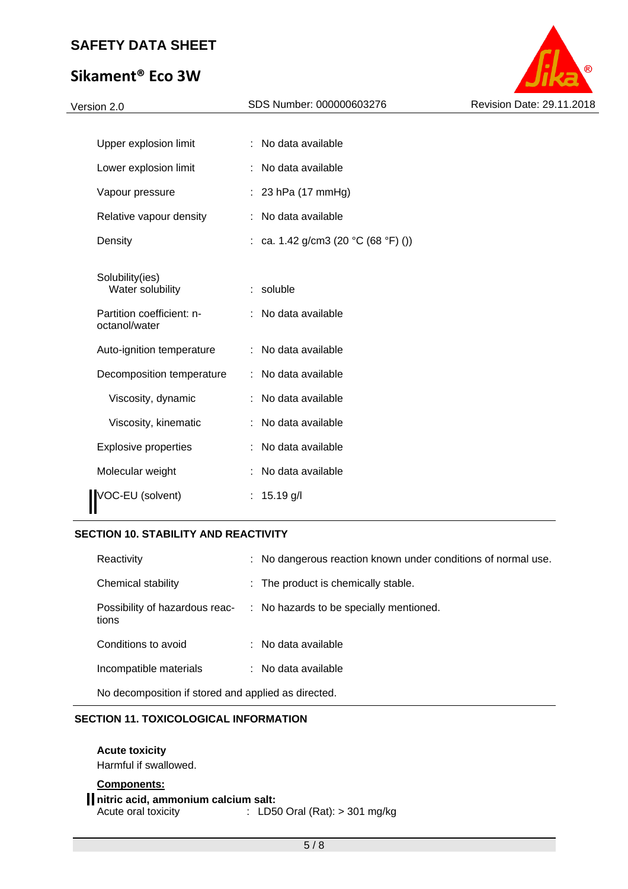## **Sikament® Eco 3W**



| Upper explosion limit                                            | No data available<br>÷               |
|------------------------------------------------------------------|--------------------------------------|
| Lower explosion limit                                            | No data available                    |
| Vapour pressure                                                  | : 23 hPa $(17 \text{ mmHg})$         |
| Relative vapour density                                          | No data available                    |
| Density                                                          | : ca. 1.42 g/cm3 (20 °C (68 °F) ())  |
| Solubility(ies)<br>Water solubility<br>Partition coefficient: n- | soluble<br>t.<br>: No data available |
| octanol/water                                                    |                                      |
| Auto-ignition temperature                                        | No data available                    |
| Decomposition temperature                                        | No data available                    |
| Viscosity, dynamic                                               | No data available                    |
| Viscosity, kinematic                                             | No data available                    |
| <b>Explosive properties</b>                                      | No data available                    |
| Molecular weight                                                 | No data available                    |
| VOC-EU (solvent)                                                 | $15.19$ g/l                          |

### **SECTION 10. STABILITY AND REACTIVITY**

| Reactivity                                         |  | : No dangerous reaction known under conditions of normal use. |
|----------------------------------------------------|--|---------------------------------------------------------------|
| Chemical stability                                 |  | : The product is chemically stable.                           |
| Possibility of hazardous reac-<br>tions            |  | : No hazards to be specially mentioned.                       |
| Conditions to avoid                                |  | : No data available                                           |
| Incompatible materials                             |  | : No data available                                           |
| No decomposition if otered and applied as directed |  |                                                               |

No decomposition if stored and applied as directed.

#### **SECTION 11. TOXICOLOGICAL INFORMATION**

#### **Acute toxicity**

Harmful if swallowed.

### **Components:**

**nitric acid, ammonium calcium salt:**  Acute oral toxicity : LD50 Oral (Rat): > 301 mg/kg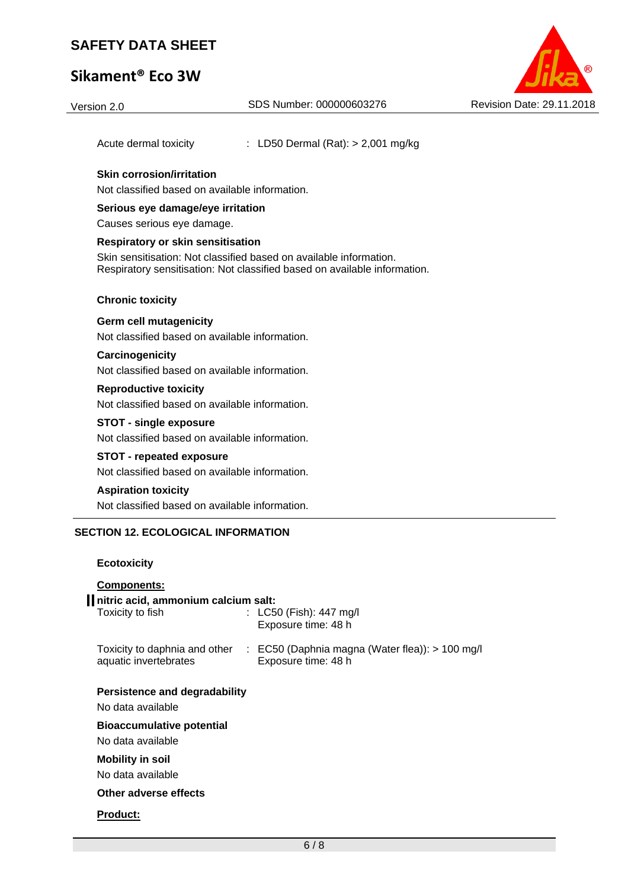## **Sikament® Eco 3W**

Version 2.0 SDS Number: 000000603276 Revision Date: 29.11.2018

Acute dermal toxicity : LD50 Dermal (Rat): > 2,001 mg/kg

#### **Skin corrosion/irritation**

Not classified based on available information.

#### **Serious eye damage/eye irritation**

Causes serious eye damage.

#### **Respiratory or skin sensitisation**

Skin sensitisation: Not classified based on available information. Respiratory sensitisation: Not classified based on available information.

#### **Chronic toxicity**

#### **Germ cell mutagenicity**

Not classified based on available information.

#### **Carcinogenicity**

Not classified based on available information.

#### **Reproductive toxicity**

Not classified based on available information.

#### **STOT - single exposure**

Not classified based on available information.

#### **STOT - repeated exposure**

Not classified based on available information.

#### **Aspiration toxicity**

Not classified based on available information.

#### **SECTION 12. ECOLOGICAL INFORMATION**

#### **Ecotoxicity**

| <b>Components:</b>                                      |                                                                                                      |
|---------------------------------------------------------|------------------------------------------------------------------------------------------------------|
| nitric acid, ammonium calcium salt:<br>Toxicity to fish | : $LC50$ (Fish): 447 mg/l<br>Exposure time: 48 h                                                     |
| aquatic invertebrates                                   | Toxicity to daphnia and other : EC50 (Daphnia magna (Water flea)): > 100 mg/l<br>Exposure time: 48 h |
| Persistence and degradability<br>No data available      |                                                                                                      |
| <b>Bioaccumulative potential</b><br>No data available   |                                                                                                      |
| <b>Mobility in soil</b><br>No data available            |                                                                                                      |
| Other adverse effects                                   |                                                                                                      |
| <b>Product:</b>                                         |                                                                                                      |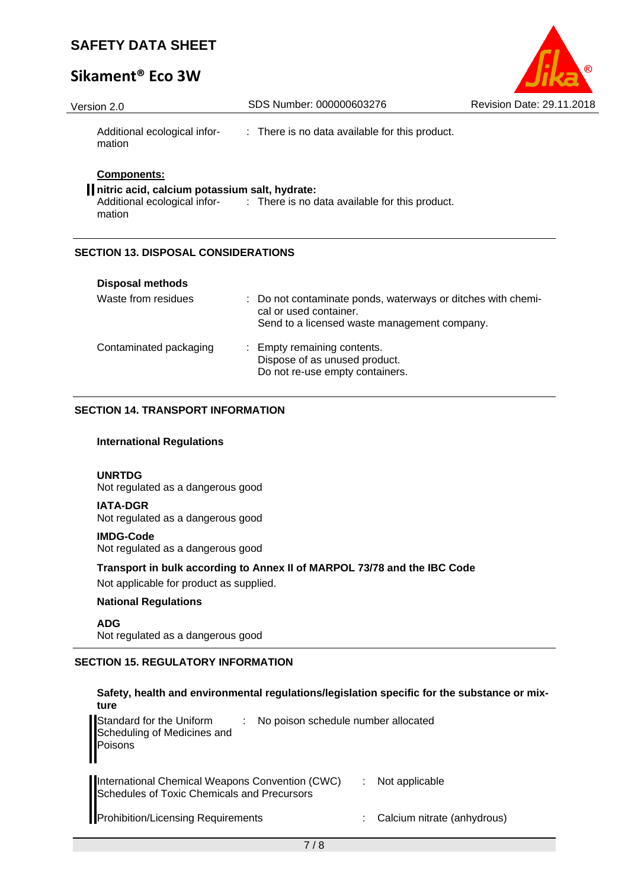## **Sikament® Eco 3W**

| R                                |
|----------------------------------|
| <b>Revision Date: 29.11.2018</b> |

| Version 2.0                                                                   | SDS Number: 000000603276                                                    | Revision Date: 29.11.2018 |
|-------------------------------------------------------------------------------|-----------------------------------------------------------------------------|---------------------------|
| Additional ecological infor-<br>mation                                        | : There is no data available for this product.                              |                           |
| <b>Components:</b><br>nitric acid, calcium potassium salt, hydrate:<br>mation | Additional ecological infor- : There is no data available for this product. |                           |

## **SECTION 13. DISPOSAL CONSIDERATIONS**

| <b>Disposal methods</b> |                                                                                                                                        |
|-------------------------|----------------------------------------------------------------------------------------------------------------------------------------|
| Waste from residues     | : Do not contaminate ponds, waterways or ditches with chemi-<br>cal or used container.<br>Send to a licensed waste management company. |
| Contaminated packaging  | : Empty remaining contents.<br>Dispose of as unused product.<br>Do not re-use empty containers.                                        |

### **SECTION 14. TRANSPORT INFORMATION**

#### **International Regulations**

#### **UNRTDG**

Not regulated as a dangerous good

#### **IATA-DGR**  Not regulated as a dangerous good

#### **IMDG-Code**

Not regulated as a dangerous good

### **Transport in bulk according to Annex II of MARPOL 73/78 and the IBC Code**

Not applicable for product as supplied.

#### **National Regulations**

**ADG**  Not regulated as a dangerous good

### **SECTION 15. REGULATORY INFORMATION**

| Safety, health and environmental regulations/legislation specific for the substance or mix-<br>ture       |                                  |
|-----------------------------------------------------------------------------------------------------------|----------------------------------|
| Standard for the Uniform<br>Scheduling of Medicines and<br>Poisons<br>No poison schedule number allocated |                                  |
| International Chemical Weapons Convention (CWC)<br>Schedules of Toxic Chemicals and Precursors            | Not applicable                   |
| Prohibition/Licensing Requirements                                                                        | Calcium nitrate (anhydrous)<br>÷ |